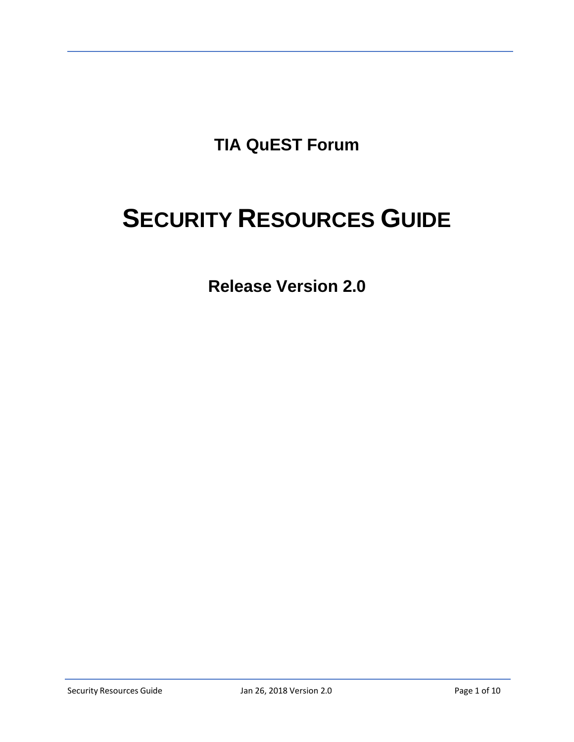**TIA QuEST Forum**

# **SECURITY RESOURCES GUIDE**

**Release Version 2.0**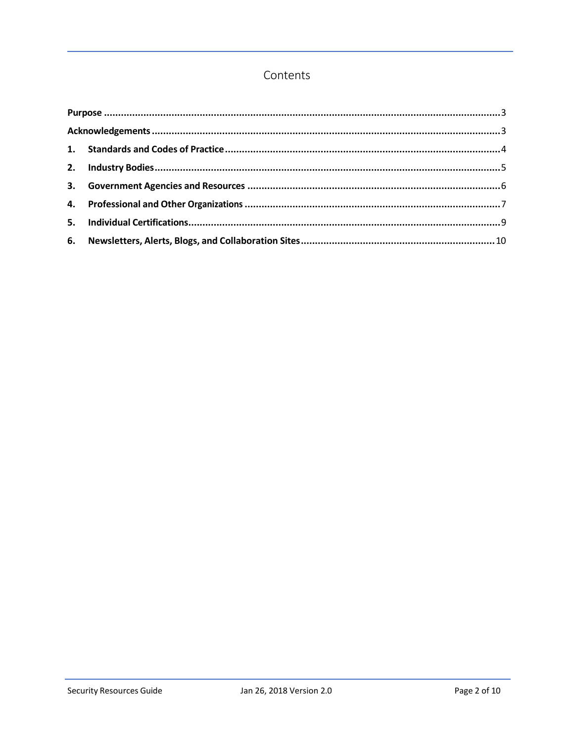# Contents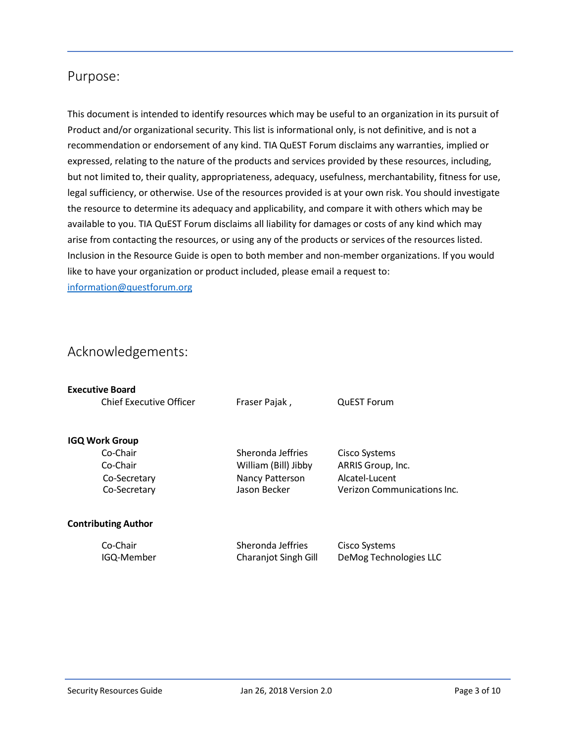# <span id="page-2-0"></span>Purpose:

This document is intended to identify resources which may be useful to an organization in its pursuit of Product and/or organizational security. This list is informational only, is not definitive, and is not a recommendation or endorsement of any kind. TIA QuEST Forum disclaims any warranties, implied or expressed, relating to the nature of the products and services provided by these resources, including, but not limited to, their quality, appropriateness, adequacy, usefulness, merchantability, fitness for use, legal sufficiency, or otherwise. Use of the resources provided is at your own risk. You should investigate the resource to determine its adequacy and applicability, and compare it with others which may be available to you. TIA QuEST Forum disclaims all liability for damages or costs of any kind which may arise from contacting the resources, or using any of the products or services of the resources listed. Inclusion in the Resource Guide is open to both member and non‐member organizations. If you would like to have your organization or product included, please email a request to: [information@questforum.org](mailto:information@questforum.org)

# <span id="page-2-1"></span>Acknowledgements:

| <b>Executive Board</b>         |                             |                             |
|--------------------------------|-----------------------------|-----------------------------|
| <b>Chief Executive Officer</b> | Fraser Pajak,               | <b>QuEST Forum</b>          |
| <b>IGQ Work Group</b>          |                             |                             |
| Co-Chair                       | Sheronda Jeffries           | Cisco Systems               |
| Co-Chair                       | William (Bill) Jibby        | ARRIS Group, Inc.           |
| Co-Secretary                   | Nancy Patterson             | Alcatel-Lucent              |
| Co-Secretary                   | Jason Becker                | Verizon Communications Inc. |
| <b>Contributing Author</b>     |                             |                             |
| Co-Chair                       | Sheronda Jeffries           | Cisco Systems               |
| IGQ-Member                     | <b>Charanjot Singh Gill</b> | DeMog Technologies LLC      |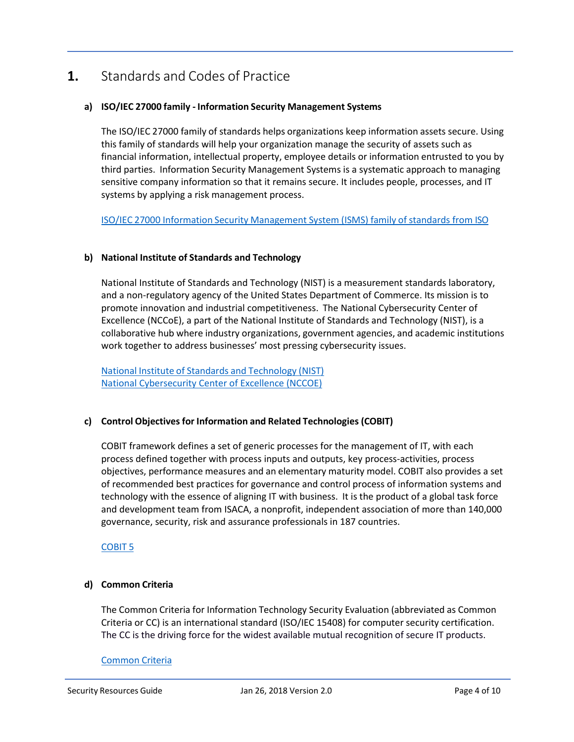# <span id="page-3-0"></span>**1.** Standards and Codes of Practice

## **a) ISO/IEC 27000 family - Information Security Management Systems**

The ISO/IEC 27000 family of standards helps organizations keep information assets secure. Using this family of standards will help your organization manage the security of assets such as financial information, intellectual property, employee details or information entrusted to you by third parties. Information Security Management Systems is a systematic approach to managing sensitive company information so that it remains secure. It includes people, processes, and IT systems by applying a risk management process.

ISO/IEC 27000 Information Security [Management](https://www.iso.org/isoiec-27001-information-security.html) System (ISMS) family of standards from ISO

### **b) National Institute of Standards and Technology**

National Institute of Standards and Technology (NIST) is a measurement standards laboratory, and a non-regulatory agency of the United States Department of Commerce. Its mission is to promote innovation and industrial competitiveness. The National Cybersecurity Center of Excellence (NCCoE), a part of the National Institute of Standards and Technology (NIST), is a collaborative hub where industry organizations, government agencies, and academic institutions work together to address businesses' most pressing cybersecurity issues.

National Institute of Standards and [Technology](https://www.nist.gov/) (NIST) [National Cybersecurity Center of Excellence \(NCCOE\)](https://nccoe.nist.gov/about-the-center)

## **c) Control Objectives for Information and Related Technologies (COBIT)**

COBIT framework defines a set of generic processes for the management of IT, with each process defined together with process inputs and outputs, key process-activities, process objectives, performance measures and an elementary maturity model. COBIT also provides a set of recommended best practices for governance and control process of information systems and technology with the essence of aligning IT with business. It is the product of a global task force and development team from ISACA, a nonprofit, independent association of more than 140,000 governance, security, risk and assurance professionals in 187 countries.

## [COBIT](https://cobitonline.isaca.org/) 5

## **d) Common Criteria**

The Common Criteria for Information Technology Security Evaluation (abbreviated as Common Criteria or CC) is an international standard (ISO/IEC 15408) for computer security certification. The CC is the driving force for the widest available mutual recognition of secure IT products.

### [Common](http://www.commoncriteriaportal.org/) Criteria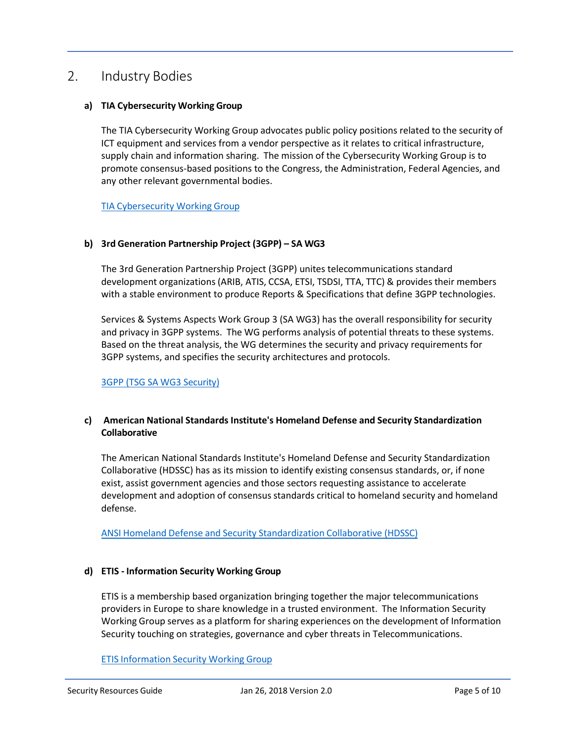# <span id="page-4-0"></span>2. Industry Bodies

### **a) TIA Cybersecurity Working Group**

The TIA Cybersecurity Working Group advocates public policy positions related to the security of ICT equipment and services from a vendor perspective as it relates to critical infrastructure, supply chain and information sharing. The mission of the Cybersecurity Working Group is to promote consensus-based positions to the Congress, the Administration, Federal Agencies, and any other relevant governmental bodies.

TIA [Cybersecurity](https://standards.tiaonline.org/policy/cybersecurity) Working Group

#### **b) 3rd Generation Partnership Project (3GPP) – SA WG3**

The 3rd Generation Partnership Project (3GPP) unites telecommunications standard development organizations (ARIB, ATIS, CCSA, ETSI, TSDSI, TTA, TTC) & provides their members with a stable environment to produce Reports & Specifications that define 3GPP technologies.

Services & Systems Aspects Work Group 3 (SA WG3) has the overall responsibility for security and privacy in 3GPP systems. The WG performs analysis of potential threats to these systems. Based on the threat analysis, the WG determines the security and privacy requirements for 3GPP systems, and specifies the security architectures and protocols.

#### 3GPP (TSG SA WG3 [Security\)](http://www.3gpp.org/specifications-groups/sa-plenary/sa3-security)

### **c) American National Standards Institute's Homeland Defense and Security Standardization Collaborative**

The American National Standards Institute's Homeland Defense and Security Standardization Collaborative (HDSSC) has as its mission to identify existing consensus standards, or, if none exist, assist government agencies and those sectors requesting assistance to accelerate development and adoption of consensus standards critical to homeland security and homeland defense.

ANSI Homeland Defense and Security [Standardization](https://www.ansi.org/standards_activities/standards_boards_panels/hssp/overview?menuid=3) Collaborative (HDSSC)

### **d) ETIS - Information Security Working Group**

ETIS is a membership based organization bringing together the major telecommunications providers in Europe to share knowledge in a trusted environment. The Information Security Working Group serves as a platform for sharing experiences on the development of Information Security touching on strategies, governance and cyber threats in Telecommunications.

### ETIS [Information](http://www.etis.org/?page=Information_Security) Security Working Group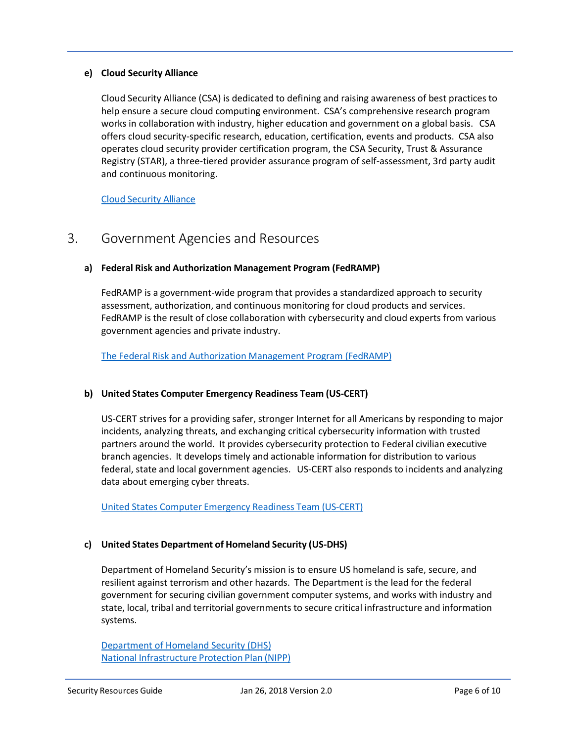### **e) Cloud Security Alliance**

Cloud Security Alliance (CSA) is dedicated to defining and raising awareness of best practices to help ensure a secure cloud computing environment. CSA's comprehensive research program works in collaboration with industry, higher education and government on a global basis. CSA offers cloud security-specific research, education, certification, events and products. CSA also operates cloud security provider certification program, the CSA Security, Trust & Assurance Registry (STAR), a three-tiered provider assurance program of self-assessment, 3rd party audit and continuous monitoring.

Cloud [Security](https://cloudsecurityalliance.org/) Alliance

# <span id="page-5-0"></span>3. Government Agencies and Resources

### **a) Federal Risk and Authorization Management Program (FedRAMP)**

FedRAMP is a government-wide program that provides a standardized approach to security assessment, authorization, and continuous monitoring for cloud products and services. FedRAMP is the result of close collaboration with cybersecurity and cloud experts from various government agencies and private industry.

The Federal Risk and [Authorization](https://www.fedramp.gov/) Management Program (FedRAMP)

### **b) United States Computer Emergency Readiness Team (US-CERT)**

US-CERT strives for a providing safer, stronger Internet for all Americans by responding to major incidents, analyzing threats, and exchanging critical cybersecurity information with trusted partners around the world. It provides cybersecurity protection to Federal civilian executive branch agencies. It develops timely and actionable information for distribution to various federal, state and local government agencies. US-CERT also responds to incidents and analyzing data about emerging cyber threats.

United States Computer [Emergency](https://www.us-cert.gov/) Readiness Team (US‐CERT)

### **c) United States Department of Homeland Security (US-DHS)**

Department of Homeland Security's mission is to ensure US homeland is safe, secure, and resilient against terrorism and other hazards. The Department is the lead for the federal government for securing civilian government computer systems, and works with industry and state, local, tribal and territorial governments to secure critical infrastructure and information systems.

[Department of Homeland Security \(DHS\)](https://www.dhs.gov/) National [Infrastructure](https://www.dhs.gov/national-infrastructure-protection-plan) Protection Plan (NIPP)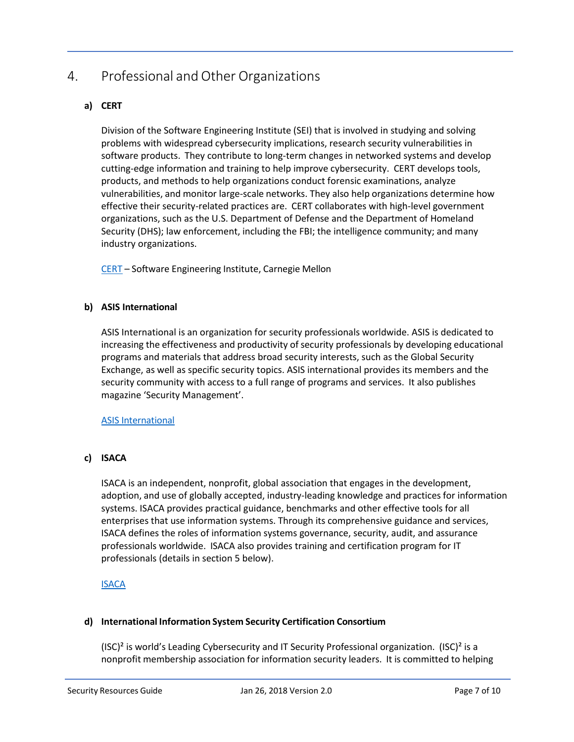# <span id="page-6-0"></span>4. Professional and Other Organizations

# **a) CERT**

Division of the Software Engineering Institute (SEI) that is involved in studying and solving problems with widespread cybersecurity implications, research security vulnerabilities in software products. They contribute to long-term changes in networked systems and develop cutting-edge information and training to help improve cybersecurity. CERT develops tools, products, and methods to help organizations conduct forensic examinations, analyze vulnerabilities, and monitor large-scale networks. They also help organizations determine how effective their security-related practices are. CERT collaborates with high-level government organizations, such as the U.S. Department of Defense and the Department of Homeland Security (DHS); law enforcement, including the FBI; the intelligence community; and many industry organizations.

[CERT](https://www.cert.org/) – Software Engineering Institute, Carnegie Mellon

## **b) ASIS International**

ASIS International is an organization for security professionals worldwide. ASIS is dedicated to increasing the effectiveness and productivity of security professionals by developing educational programs and materials that address broad security interests, such as the Global Security Exchange, as well as specific security topics. ASIS international provides its members and the security community with access to a full range of programs and services. It also publishes magazine 'Security Management'.

### ASIS [International](https://www.asisonline.org/Pages/default.aspx)

## **c) ISACA**

ISACA is an independent, nonprofit, global association that engages in the development, adoption, and use of globally accepted, industry-leading knowledge and practices for information systems. ISACA provides practical guidance, benchmarks and other effective tools for all enterprises that use information systems. Through its comprehensive guidance and services, ISACA defines the roles of information systems governance, security, audit, and assurance professionals worldwide. ISACA also provides training and certification program for IT professionals (details in section 5 below).

## [ISACA](https://www.isaca.org/)

## **d) International Information System Security Certification Consortium**

(ISC)<sup>2</sup> is world's Leading Cybersecurity and IT Security Professional organization. (ISC)<sup>2</sup> is a nonprofit membership association for information security leaders. It is committed to helping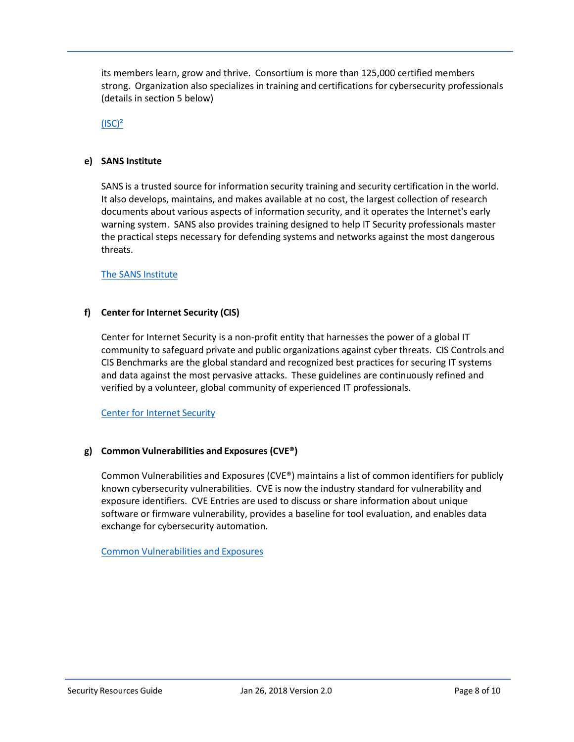its members learn, grow and thrive. Consortium is more than 125,000 certified members strong. Organization also specializes in training and certifications for cybersecurity professionals (details in section 5 below)

 $(ISC)<sup>2</sup>$ 

#### **e) SANS Institute**

SANS is a trusted source for information security training and security certification in the world. It also develops, maintains, and makes available at no cost, the largest collection of research documents about various aspects of information security, and it operates the Internet's early warning system. SANS also provides training designed to help IT Security professionals master the practical steps necessary for defending systems and networks against the most dangerous threats.

The SANS [Institute](https://www.sans.org/)

### **f) Center for Internet Security (CIS)**

Center for Internet Security is a non-profit entity that harnesses the power of a global IT community to safeguard private and public organizations against cyber threats. CIS Controls and CIS Benchmarks are the global standard and recognized best practices for securing IT systems and data against the most pervasive attacks. These guidelines are continuously refined and verified by a volunteer, global community of experienced IT professionals.

Center for [Internet](https://www.cisecurity.org/) Security

### **g) Common Vulnerabilities and Exposures (CVE®)**

Common Vulnerabilities and Exposures (CVE®) maintains a list of common identifiers for publicly known cybersecurity vulnerabilities. CVE is now the industry standard for vulnerability and exposure identifiers. CVE Entries are used to discuss or share information about unique software or firmware vulnerability, provides a baseline for tool evaluation, and enables data exchange for cybersecurity automation.

Common [Vulnerabilities](http://cve.mitre.org/) and Exposures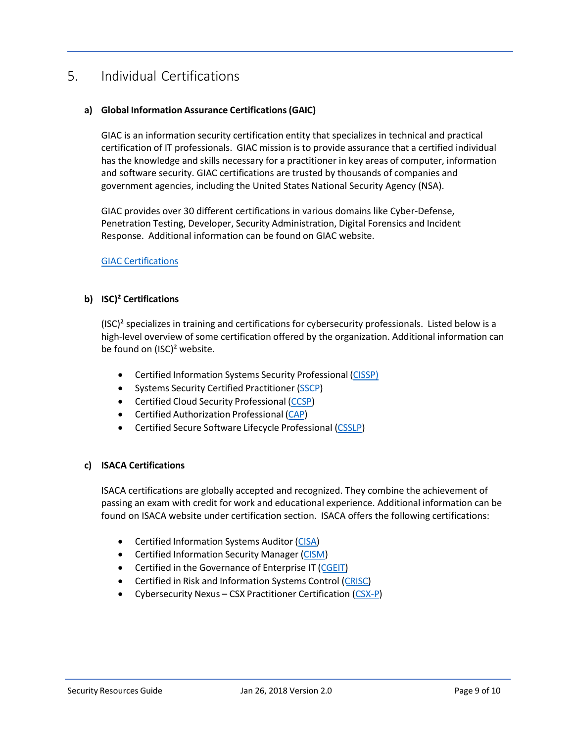# <span id="page-8-0"></span>5. Individual Certifications

### **a) Global Information Assurance Certifications(GAIC)**

GIAC is an information security certification entity that specializes in technical and practical certification of IT professionals. GIAC mission is to provide assurance that a certified individual has the knowledge and skills necessary for a practitioner in key areas of computer, information and software security. GIAC certifications are trusted by thousands of companies and government agencies, including the United States National Security Agency (NSA).

GIAC provides over 30 different certifications in various domains like Cyber-Defense, Penetration Testing, Developer, Security Administration, Digital Forensics and Incident Response. Additional information can be found on GIAC website.

### GIAC [Certifications](https://www.giac.org/certifications/get-certified/roadmap)

### **b) ISC)² Certifications**

 $(ISC)^2$  specializes in training and certifications for cybersecurity professionals. Listed below is a high-level overview of some certification offered by the organization. Additional information can be found on (ISC)² website.

- Certified Information Systems Security Professional [\(CISSP\)](https://www.isc2.org/Certifications/CISSP)
- Systems Security Certified Practitioner [\(SSCP\)](https://www.isc2.org/Certifications/SSCP)
- Certified Cloud Security Professional [\(CCSP\)](https://www.isc2.org/Certifications/CCSP)
- Certified Authorization Professional [\(CAP\)](https://www.isc2.org/Certifications/CAP)
- Certified Secure Software Lifecycle Professional [\(CSSLP\)](https://www.isc2.org/Certifications/CSSLP)

### **c) ISACA Certifications**

ISACA certifications are globally accepted and recognized. They combine the achievement of passing an exam with credit for work and educational experience. Additional information can be found on ISACA website under certification section. ISACA offers the following certifications:

- Certified Information Systems Auditor [\(CISA\)](http://www.isaca.org/Certification/CISA-Certified-Information-Systems-Auditor/Pages/default.aspx)
- Certified Information Security Manager [\(CISM\)](http://www.isaca.org/Certification/CISM-Certified-Information-Security-Manager/Pages/default.aspx)
- Certified in the Governance of Enterprise IT [\(CGEIT\)](http://www.isaca.org/Certification/CGEIT-Certified-in-the-Governance-of-Enterprise-IT/Pages/default.aspx)
- Certified in Risk and Information Systems Control [\(CRISC\)](http://www.isaca.org/Certification/CRISC-Certified-in-Risk-and-Information-Systems-Control/Pages/default.aspx)
- Cybersecurity Nexus CSX Practitioner Certification [\(CSX-P\)](https://cybersecurity.isaca.org/csx-certifications/csx-practitioner-certification)